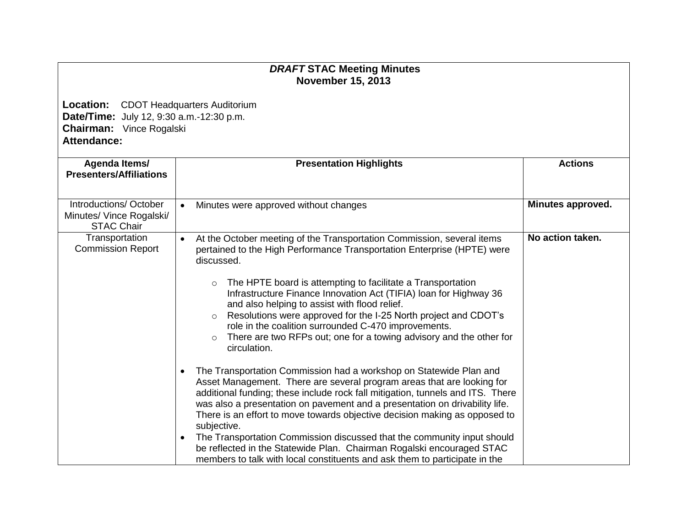## *DRAFT* **STAC Meeting Minutes November 15, 2013**

**Location:** CDOT Headquarters Auditorium **Date/Time:** July 12, 9:30 a.m.-12:30 p.m. **Chairman:** Vince Rogalski **Attendance:**

| Agenda Items/<br><b>Presenters/Affiliations</b>                        | <b>Presentation Highlights</b>                                                                                                                                                                                                                                                                                                                                                                                                                                                                                                                                                                                                                                                         | <b>Actions</b>    |
|------------------------------------------------------------------------|----------------------------------------------------------------------------------------------------------------------------------------------------------------------------------------------------------------------------------------------------------------------------------------------------------------------------------------------------------------------------------------------------------------------------------------------------------------------------------------------------------------------------------------------------------------------------------------------------------------------------------------------------------------------------------------|-------------------|
| Introductions/October<br>Minutes/ Vince Rogalski/<br><b>STAC Chair</b> | Minutes were approved without changes<br>$\bullet$                                                                                                                                                                                                                                                                                                                                                                                                                                                                                                                                                                                                                                     | Minutes approved. |
| Transportation<br><b>Commission Report</b>                             | At the October meeting of the Transportation Commission, several items<br>$\bullet$<br>pertained to the High Performance Transportation Enterprise (HPTE) were<br>discussed.<br>The HPTE board is attempting to facilitate a Transportation<br>$\circ$<br>Infrastructure Finance Innovation Act (TIFIA) loan for Highway 36<br>and also helping to assist with flood relief.<br>Resolutions were approved for the I-25 North project and CDOT's<br>$\circ$<br>role in the coalition surrounded C-470 improvements.<br>There are two RFPs out; one for a towing advisory and the other for                                                                                              | No action taken.  |
|                                                                        | circulation.<br>The Transportation Commission had a workshop on Statewide Plan and<br>$\bullet$<br>Asset Management. There are several program areas that are looking for<br>additional funding; these include rock fall mitigation, tunnels and ITS. There<br>was also a presentation on pavement and a presentation on drivability life.<br>There is an effort to move towards objective decision making as opposed to<br>subjective.<br>The Transportation Commission discussed that the community input should<br>$\bullet$<br>be reflected in the Statewide Plan. Chairman Rogalski encouraged STAC<br>members to talk with local constituents and ask them to participate in the |                   |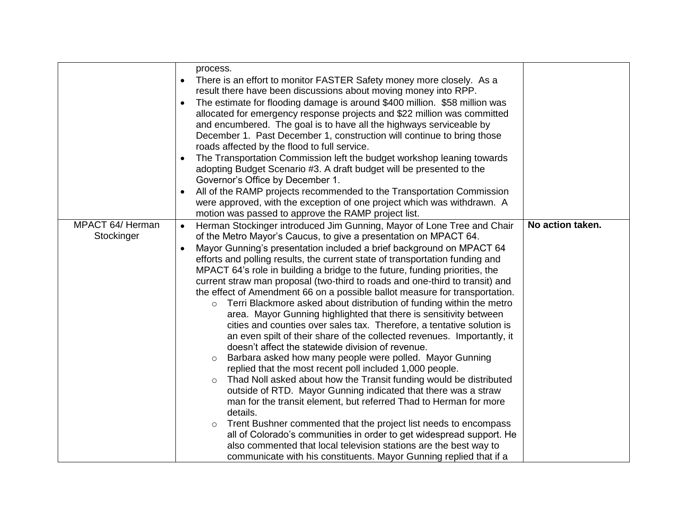|                                | process.<br>There is an effort to monitor FASTER Safety money more closely. As a<br>$\bullet$<br>result there have been discussions about moving money into RPP.<br>The estimate for flooding damage is around \$400 million. \$58 million was<br>$\bullet$<br>allocated for emergency response projects and \$22 million was committed<br>and encumbered. The goal is to have all the highways serviceable by<br>December 1. Past December 1, construction will continue to bring those<br>roads affected by the flood to full service.<br>The Transportation Commission left the budget workshop leaning towards<br>adopting Budget Scenario #3. A draft budget will be presented to the<br>Governor's Office by December 1.<br>All of the RAMP projects recommended to the Transportation Commission<br>were approved, with the exception of one project which was withdrawn. A<br>motion was passed to approve the RAMP project list.                                                                                                                                                                                                                                                                                                                                                                                                                                                                                                                                                                                                                                                                |                  |
|--------------------------------|----------------------------------------------------------------------------------------------------------------------------------------------------------------------------------------------------------------------------------------------------------------------------------------------------------------------------------------------------------------------------------------------------------------------------------------------------------------------------------------------------------------------------------------------------------------------------------------------------------------------------------------------------------------------------------------------------------------------------------------------------------------------------------------------------------------------------------------------------------------------------------------------------------------------------------------------------------------------------------------------------------------------------------------------------------------------------------------------------------------------------------------------------------------------------------------------------------------------------------------------------------------------------------------------------------------------------------------------------------------------------------------------------------------------------------------------------------------------------------------------------------------------------------------------------------------------------------------------------------|------------------|
| MPACT 64/ Herman<br>Stockinger | Herman Stockinger introduced Jim Gunning, Mayor of Lone Tree and Chair<br>$\bullet$<br>of the Metro Mayor's Caucus, to give a presentation on MPACT 64.<br>Mayor Gunning's presentation included a brief background on MPACT 64<br>efforts and polling results, the current state of transportation funding and<br>MPACT 64's role in building a bridge to the future, funding priorities, the<br>current straw man proposal (two-third to roads and one-third to transit) and<br>the effect of Amendment 66 on a possible ballot measure for transportation.<br>Terri Blackmore asked about distribution of funding within the metro<br>$\circ$<br>area. Mayor Gunning highlighted that there is sensitivity between<br>cities and counties over sales tax. Therefore, a tentative solution is<br>an even spilt of their share of the collected revenues. Importantly, it<br>doesn't affect the statewide division of revenue.<br>Barbara asked how many people were polled. Mayor Gunning<br>$\circ$<br>replied that the most recent poll included 1,000 people.<br>Thad Noll asked about how the Transit funding would be distributed<br>$\circ$<br>outside of RTD. Mayor Gunning indicated that there was a straw<br>man for the transit element, but referred Thad to Herman for more<br>details.<br>Trent Bushner commented that the project list needs to encompass<br>$\circ$<br>all of Colorado's communities in order to get widespread support. He<br>also commented that local television stations are the best way to<br>communicate with his constituents. Mayor Gunning replied that if a | No action taken. |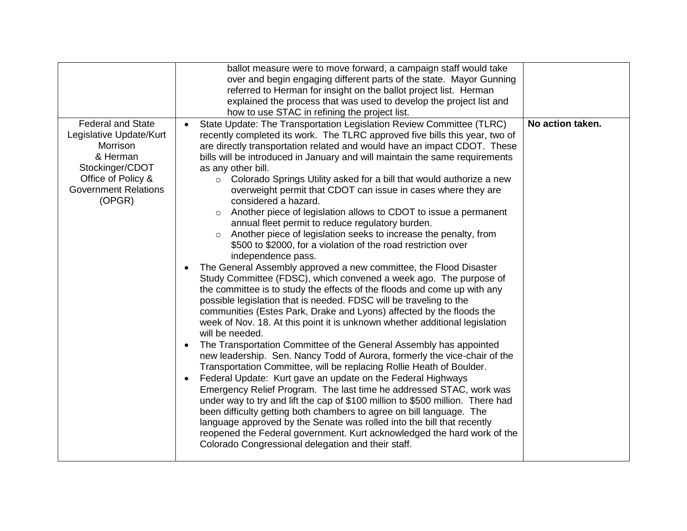|                                                                                                                                                               | ballot measure were to move forward, a campaign staff would take<br>over and begin engaging different parts of the state. Mayor Gunning<br>referred to Herman for insight on the ballot project list. Herman<br>explained the process that was used to develop the project list and                                                                                                                                                                                                                                                                                                                                                                                                                                                                                                                                                                                                                                                                                                                                                                                                                                                                                                                                                                                                                                                                                                                                                                                                                                                                                                                                                                                                                                                                                                                                                                                                                                                                                                                                                                |                  |
|---------------------------------------------------------------------------------------------------------------------------------------------------------------|----------------------------------------------------------------------------------------------------------------------------------------------------------------------------------------------------------------------------------------------------------------------------------------------------------------------------------------------------------------------------------------------------------------------------------------------------------------------------------------------------------------------------------------------------------------------------------------------------------------------------------------------------------------------------------------------------------------------------------------------------------------------------------------------------------------------------------------------------------------------------------------------------------------------------------------------------------------------------------------------------------------------------------------------------------------------------------------------------------------------------------------------------------------------------------------------------------------------------------------------------------------------------------------------------------------------------------------------------------------------------------------------------------------------------------------------------------------------------------------------------------------------------------------------------------------------------------------------------------------------------------------------------------------------------------------------------------------------------------------------------------------------------------------------------------------------------------------------------------------------------------------------------------------------------------------------------------------------------------------------------------------------------------------------------|------------------|
|                                                                                                                                                               | how to use STAC in refining the project list.                                                                                                                                                                                                                                                                                                                                                                                                                                                                                                                                                                                                                                                                                                                                                                                                                                                                                                                                                                                                                                                                                                                                                                                                                                                                                                                                                                                                                                                                                                                                                                                                                                                                                                                                                                                                                                                                                                                                                                                                      |                  |
| <b>Federal and State</b><br>Legislative Update/Kurt<br>Morrison<br>& Herman<br>Stockinger/CDOT<br>Office of Policy &<br><b>Government Relations</b><br>(OPGR) | State Update: The Transportation Legislation Review Committee (TLRC)<br>$\bullet$<br>recently completed its work. The TLRC approved five bills this year, two of<br>are directly transportation related and would have an impact CDOT. These<br>bills will be introduced in January and will maintain the same requirements<br>as any other bill.<br>Colorado Springs Utility asked for a bill that would authorize a new<br>$\circ$<br>overweight permit that CDOT can issue in cases where they are<br>considered a hazard.<br>Another piece of legislation allows to CDOT to issue a permanent<br>$\circ$<br>annual fleet permit to reduce regulatory burden.<br>Another piece of legislation seeks to increase the penalty, from<br>$\circ$<br>\$500 to \$2000, for a violation of the road restriction over<br>independence pass.<br>The General Assembly approved a new committee, the Flood Disaster<br>Study Committee (FDSC), which convened a week ago. The purpose of<br>the committee is to study the effects of the floods and come up with any<br>possible legislation that is needed. FDSC will be traveling to the<br>communities (Estes Park, Drake and Lyons) affected by the floods the<br>week of Nov. 18. At this point it is unknown whether additional legislation<br>will be needed.<br>The Transportation Committee of the General Assembly has appointed<br>new leadership. Sen. Nancy Todd of Aurora, formerly the vice-chair of the<br>Transportation Committee, will be replacing Rollie Heath of Boulder.<br>Federal Update: Kurt gave an update on the Federal Highways<br>Emergency Relief Program. The last time he addressed STAC, work was<br>under way to try and lift the cap of \$100 million to \$500 million. There had<br>been difficulty getting both chambers to agree on bill language. The<br>language approved by the Senate was rolled into the bill that recently<br>reopened the Federal government. Kurt acknowledged the hard work of the<br>Colorado Congressional delegation and their staff. | No action taken. |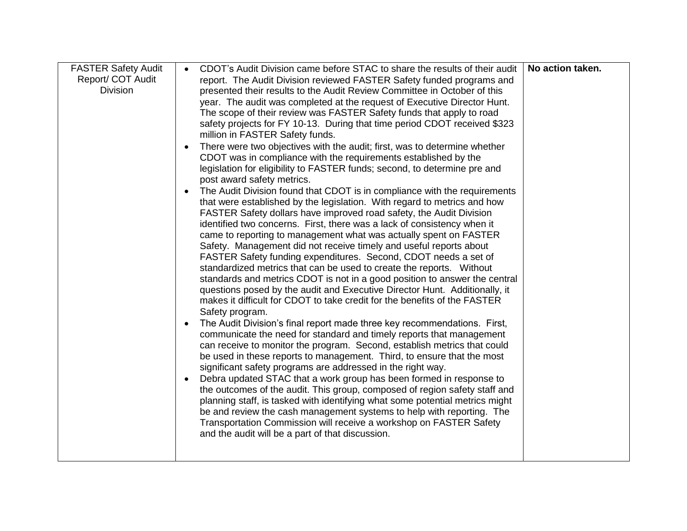| <b>FASTER Safety Audit</b> | CDOT's Audit Division came before STAC to share the results of their audit<br>$\bullet$                                                               | No action taken. |
|----------------------------|-------------------------------------------------------------------------------------------------------------------------------------------------------|------------------|
| Report/ COT Audit          | report. The Audit Division reviewed FASTER Safety funded programs and                                                                                 |                  |
| <b>Division</b>            | presented their results to the Audit Review Committee in October of this                                                                              |                  |
|                            | year. The audit was completed at the request of Executive Director Hunt.                                                                              |                  |
|                            | The scope of their review was FASTER Safety funds that apply to road                                                                                  |                  |
|                            | safety projects for FY 10-13. During that time period CDOT received \$323<br>million in FASTER Safety funds.                                          |                  |
|                            | There were two objectives with the audit; first, was to determine whether                                                                             |                  |
|                            | CDOT was in compliance with the requirements established by the                                                                                       |                  |
|                            | legislation for eligibility to FASTER funds; second, to determine pre and                                                                             |                  |
|                            | post award safety metrics.                                                                                                                            |                  |
|                            | The Audit Division found that CDOT is in compliance with the requirements<br>$\bullet$                                                                |                  |
|                            | that were established by the legislation. With regard to metrics and how                                                                              |                  |
|                            | FASTER Safety dollars have improved road safety, the Audit Division                                                                                   |                  |
|                            | identified two concerns. First, there was a lack of consistency when it                                                                               |                  |
|                            | came to reporting to management what was actually spent on FASTER                                                                                     |                  |
|                            | Safety. Management did not receive timely and useful reports about                                                                                    |                  |
|                            | FASTER Safety funding expenditures. Second, CDOT needs a set of                                                                                       |                  |
|                            | standardized metrics that can be used to create the reports. Without                                                                                  |                  |
|                            | standards and metrics CDOT is not in a good position to answer the central                                                                            |                  |
|                            | questions posed by the audit and Executive Director Hunt. Additionally, it                                                                            |                  |
|                            | makes it difficult for CDOT to take credit for the benefits of the FASTER                                                                             |                  |
|                            | Safety program.                                                                                                                                       |                  |
|                            | The Audit Division's final report made three key recommendations. First,<br>$\bullet$                                                                 |                  |
|                            | communicate the need for standard and timely reports that management                                                                                  |                  |
|                            | can receive to monitor the program. Second, establish metrics that could                                                                              |                  |
|                            | be used in these reports to management. Third, to ensure that the most                                                                                |                  |
|                            | significant safety programs are addressed in the right way.                                                                                           |                  |
|                            | Debra updated STAC that a work group has been formed in response to<br>$\bullet$                                                                      |                  |
|                            | the outcomes of the audit. This group, composed of region safety staff and                                                                            |                  |
|                            | planning staff, is tasked with identifying what some potential metrics might<br>be and review the cash management systems to help with reporting. The |                  |
|                            | Transportation Commission will receive a workshop on FASTER Safety                                                                                    |                  |
|                            | and the audit will be a part of that discussion.                                                                                                      |                  |
|                            |                                                                                                                                                       |                  |
|                            |                                                                                                                                                       |                  |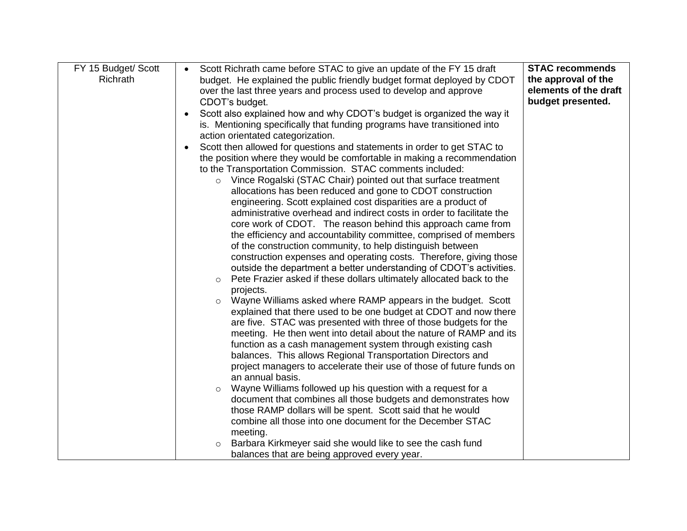| FY 15 Budget/ Scott | Scott Richrath came before STAC to give an update of the FY 15 draft            | <b>STAC recommends</b> |
|---------------------|---------------------------------------------------------------------------------|------------------------|
| Richrath            | budget. He explained the public friendly budget format deployed by CDOT         | the approval of the    |
|                     | over the last three years and process used to develop and approve               | elements of the draft  |
|                     | CDOT's budget.                                                                  | budget presented.      |
| $\bullet$           | Scott also explained how and why CDOT's budget is organized the way it          |                        |
|                     | is. Mentioning specifically that funding programs have transitioned into        |                        |
|                     | action orientated categorization.                                               |                        |
|                     | Scott then allowed for questions and statements in order to get STAC to         |                        |
|                     | the position where they would be comfortable in making a recommendation         |                        |
|                     | to the Transportation Commission. STAC comments included:                       |                        |
|                     | Vince Rogalski (STAC Chair) pointed out that surface treatment<br>$\circ$       |                        |
|                     | allocations has been reduced and gone to CDOT construction                      |                        |
|                     | engineering. Scott explained cost disparities are a product of                  |                        |
|                     | administrative overhead and indirect costs in order to facilitate the           |                        |
|                     | core work of CDOT. The reason behind this approach came from                    |                        |
|                     | the efficiency and accountability committee, comprised of members               |                        |
|                     | of the construction community, to help distinguish between                      |                        |
|                     | construction expenses and operating costs. Therefore, giving those              |                        |
|                     | outside the department a better understanding of CDOT's activities.             |                        |
|                     | Pete Frazier asked if these dollars ultimately allocated back to the<br>$\circ$ |                        |
|                     | projects.                                                                       |                        |
|                     | Wayne Williams asked where RAMP appears in the budget. Scott<br>$\circ$         |                        |
|                     | explained that there used to be one budget at CDOT and now there                |                        |
|                     | are five. STAC was presented with three of those budgets for the                |                        |
|                     | meeting. He then went into detail about the nature of RAMP and its              |                        |
|                     | function as a cash management system through existing cash                      |                        |
|                     | balances. This allows Regional Transportation Directors and                     |                        |
|                     | project managers to accelerate their use of those of future funds on            |                        |
|                     | an annual basis.                                                                |                        |
|                     | Wayne Williams followed up his question with a request for a<br>$\circ$         |                        |
|                     | document that combines all those budgets and demonstrates how                   |                        |
|                     | those RAMP dollars will be spent. Scott said that he would                      |                        |
|                     | combine all those into one document for the December STAC                       |                        |
|                     | meeting.                                                                        |                        |
|                     | Barbara Kirkmeyer said she would like to see the cash fund<br>$\circ$           |                        |
|                     | balances that are being approved every year.                                    |                        |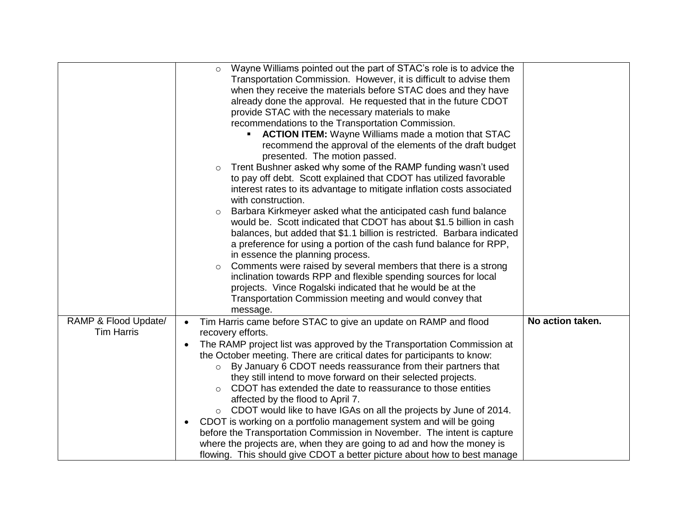|                                           | Wayne Williams pointed out the part of STAC's role is to advice the<br>$\circ$<br>Transportation Commission. However, it is difficult to advise them<br>when they receive the materials before STAC does and they have<br>already done the approval. He requested that in the future CDOT<br>provide STAC with the necessary materials to make<br>recommendations to the Transportation Commission.<br><b>ACTION ITEM:</b> Wayne Williams made a motion that STAC<br>recommend the approval of the elements of the draft budget<br>presented. The motion passed.<br>Trent Bushner asked why some of the RAMP funding wasn't used<br>$\circ$<br>to pay off debt. Scott explained that CDOT has utilized favorable<br>interest rates to its advantage to mitigate inflation costs associated<br>with construction.<br>Barbara Kirkmeyer asked what the anticipated cash fund balance<br>$\circ$<br>would be. Scott indicated that CDOT has about \$1.5 billion in cash<br>balances, but added that \$1.1 billion is restricted. Barbara indicated<br>a preference for using a portion of the cash fund balance for RPP,<br>in essence the planning process.<br>Comments were raised by several members that there is a strong<br>$\circ$<br>inclination towards RPP and flexible spending sources for local<br>projects. Vince Rogalski indicated that he would be at the<br>Transportation Commission meeting and would convey that |                  |
|-------------------------------------------|------------------------------------------------------------------------------------------------------------------------------------------------------------------------------------------------------------------------------------------------------------------------------------------------------------------------------------------------------------------------------------------------------------------------------------------------------------------------------------------------------------------------------------------------------------------------------------------------------------------------------------------------------------------------------------------------------------------------------------------------------------------------------------------------------------------------------------------------------------------------------------------------------------------------------------------------------------------------------------------------------------------------------------------------------------------------------------------------------------------------------------------------------------------------------------------------------------------------------------------------------------------------------------------------------------------------------------------------------------------------------------------------------------------------------------|------------------|
| RAMP & Flood Update/<br><b>Tim Harris</b> | message.<br>Tim Harris came before STAC to give an update on RAMP and flood<br>$\bullet$<br>recovery efforts.<br>The RAMP project list was approved by the Transportation Commission at<br>the October meeting. There are critical dates for participants to know:<br>By January 6 CDOT needs reassurance from their partners that<br>$\circ$<br>they still intend to move forward on their selected projects.<br>CDOT has extended the date to reassurance to those entities<br>$\circ$<br>affected by the flood to April 7.<br>○ CDOT would like to have IGAs on all the projects by June of 2014.<br>CDOT is working on a portfolio management system and will be going<br>before the Transportation Commission in November. The intent is capture<br>where the projects are, when they are going to ad and how the money is<br>flowing. This should give CDOT a better picture about how to best manage                                                                                                                                                                                                                                                                                                                                                                                                                                                                                                                        | No action taken. |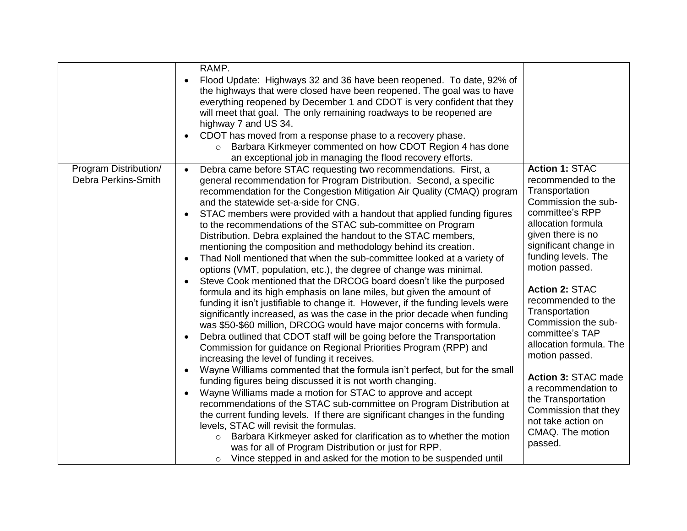|                                              | RAMP.<br>Flood Update: Highways 32 and 36 have been reopened. To date, 92% of<br>$\bullet$<br>the highways that were closed have been reopened. The goal was to have<br>everything reopened by December 1 and CDOT is very confident that they<br>will meet that goal. The only remaining roadways to be reopened are<br>highway 7 and US 34.<br>CDOT has moved from a response phase to a recovery phase.<br>$\bullet$<br>Barbara Kirkmeyer commented on how CDOT Region 4 has done<br>$\circ$<br>an exceptional job in managing the flood recovery efforts.                                                                                                                                                                                                                                                                                                                                                                                                                                                                                                                                                                                                                                                                                                                                                                                                                                                                                                                                                                                                                                                                                                                                                                                                                                                                                                                                                                                                                                              |                                                                                                                                                                                                                                                                                                                                                                                                                                                                                                                               |
|----------------------------------------------|------------------------------------------------------------------------------------------------------------------------------------------------------------------------------------------------------------------------------------------------------------------------------------------------------------------------------------------------------------------------------------------------------------------------------------------------------------------------------------------------------------------------------------------------------------------------------------------------------------------------------------------------------------------------------------------------------------------------------------------------------------------------------------------------------------------------------------------------------------------------------------------------------------------------------------------------------------------------------------------------------------------------------------------------------------------------------------------------------------------------------------------------------------------------------------------------------------------------------------------------------------------------------------------------------------------------------------------------------------------------------------------------------------------------------------------------------------------------------------------------------------------------------------------------------------------------------------------------------------------------------------------------------------------------------------------------------------------------------------------------------------------------------------------------------------------------------------------------------------------------------------------------------------------------------------------------------------------------------------------------------------|-------------------------------------------------------------------------------------------------------------------------------------------------------------------------------------------------------------------------------------------------------------------------------------------------------------------------------------------------------------------------------------------------------------------------------------------------------------------------------------------------------------------------------|
| Program Distribution/<br>Debra Perkins-Smith | Debra came before STAC requesting two recommendations. First, a<br>$\bullet$<br>general recommendation for Program Distribution. Second, a specific<br>recommendation for the Congestion Mitigation Air Quality (CMAQ) program<br>and the statewide set-a-side for CNG.<br>STAC members were provided with a handout that applied funding figures<br>$\bullet$<br>to the recommendations of the STAC sub-committee on Program<br>Distribution. Debra explained the handout to the STAC members,<br>mentioning the composition and methodology behind its creation.<br>Thad Noll mentioned that when the sub-committee looked at a variety of<br>$\bullet$<br>options (VMT, population, etc.), the degree of change was minimal.<br>Steve Cook mentioned that the DRCOG board doesn't like the purposed<br>$\bullet$<br>formula and its high emphasis on lane miles, but given the amount of<br>funding it isn't justifiable to change it. However, if the funding levels were<br>significantly increased, as was the case in the prior decade when funding<br>was \$50-\$60 million, DRCOG would have major concerns with formula.<br>Debra outlined that CDOT staff will be going before the Transportation<br>$\bullet$<br>Commission for guidance on Regional Priorities Program (RPP) and<br>increasing the level of funding it receives.<br>Wayne Williams commented that the formula isn't perfect, but for the small<br>$\bullet$<br>funding figures being discussed it is not worth changing.<br>Wayne Williams made a motion for STAC to approve and accept<br>$\bullet$<br>recommendations of the STAC sub-committee on Program Distribution at<br>the current funding levels. If there are significant changes in the funding<br>levels, STAC will revisit the formulas.<br>Barbara Kirkmeyer asked for clarification as to whether the motion<br>$\circ$<br>was for all of Program Distribution or just for RPP.<br>Vince stepped in and asked for the motion to be suspended until<br>$\circ$ | <b>Action 1: STAC</b><br>recommended to the<br>Transportation<br>Commission the sub-<br>committee's RPP<br>allocation formula<br>given there is no<br>significant change in<br>funding levels. The<br>motion passed.<br><b>Action 2: STAC</b><br>recommended to the<br>Transportation<br>Commission the sub-<br>committee's TAP<br>allocation formula. The<br>motion passed.<br>Action 3: STAC made<br>a recommendation to<br>the Transportation<br>Commission that they<br>not take action on<br>CMAQ. The motion<br>passed. |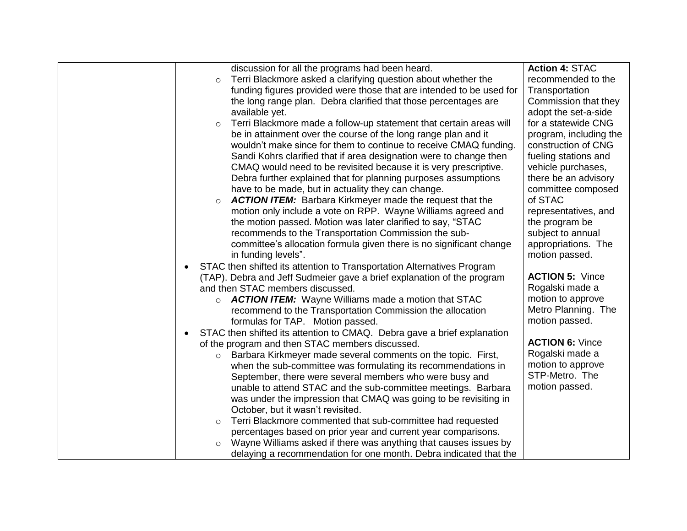|           | discussion for all the programs had been heard.                         | <b>Action 4: STAC</b>  |
|-----------|-------------------------------------------------------------------------|------------------------|
| $\circ$   | Terri Blackmore asked a clarifying question about whether the           | recommended to the     |
|           | funding figures provided were those that are intended to be used for    | Transportation         |
|           | the long range plan. Debra clarified that those percentages are         | Commission that they   |
|           | available yet.                                                          | adopt the set-a-side   |
| $\circ$   | Terri Blackmore made a follow-up statement that certain areas will      | for a statewide CNG    |
|           | be in attainment over the course of the long range plan and it          | program, including the |
|           | wouldn't make since for them to continue to receive CMAQ funding.       | construction of CNG    |
|           | Sandi Kohrs clarified that if area designation were to change then      | fueling stations and   |
|           | CMAQ would need to be revisited because it is very prescriptive.        | vehicle purchases,     |
|           | Debra further explained that for planning purposes assumptions          | there be an advisory   |
|           | have to be made, but in actuality they can change.                      | committee composed     |
| $\circ$   | <b>ACTION ITEM:</b> Barbara Kirkmeyer made the request that the         | of STAC                |
|           | motion only include a vote on RPP. Wayne Williams agreed and            | representatives, and   |
|           | the motion passed. Motion was later clarified to say, "STAC             | the program be         |
|           | recommends to the Transportation Commission the sub-                    | subject to annual      |
|           | committee's allocation formula given there is no significant change     | appropriations. The    |
|           | in funding levels".                                                     | motion passed.         |
| $\bullet$ | STAC then shifted its attention to Transportation Alternatives Program  |                        |
|           | (TAP). Debra and Jeff Sudmeier gave a brief explanation of the program  | <b>ACTION 5: Vince</b> |
|           | and then STAC members discussed.                                        | Rogalski made a        |
|           | ○ <b>ACTION ITEM:</b> Wayne Williams made a motion that STAC            | motion to approve      |
|           | recommend to the Transportation Commission the allocation               | Metro Planning. The    |
|           | formulas for TAP. Motion passed.                                        | motion passed.         |
| $\bullet$ | STAC then shifted its attention to CMAQ. Debra gave a brief explanation |                        |
|           | of the program and then STAC members discussed.                         | <b>ACTION 6: Vince</b> |
| $\circ$   | Barbara Kirkmeyer made several comments on the topic. First,            | Rogalski made a        |
|           | when the sub-committee was formulating its recommendations in           | motion to approve      |
|           | September, there were several members who were busy and                 | STP-Metro. The         |
|           | unable to attend STAC and the sub-committee meetings. Barbara           | motion passed.         |
|           | was under the impression that CMAQ was going to be revisiting in        |                        |
|           | October, but it wasn't revisited.                                       |                        |
| $\circ$   | Terri Blackmore commented that sub-committee had requested              |                        |
|           | percentages based on prior year and current year comparisons.           |                        |
| $\circ$   | Wayne Williams asked if there was anything that causes issues by        |                        |
|           | delaying a recommendation for one month. Debra indicated that the       |                        |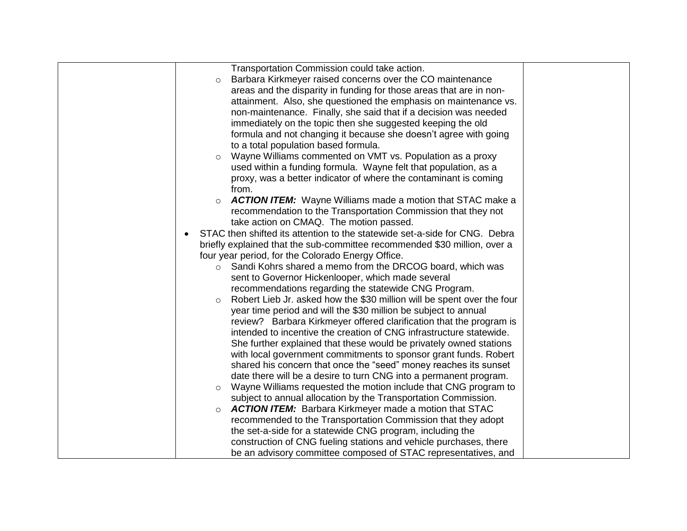| Transportation Commission could take action.                                      |  |
|-----------------------------------------------------------------------------------|--|
| Barbara Kirkmeyer raised concerns over the CO maintenance<br>$\circ$              |  |
| areas and the disparity in funding for those areas that are in non-               |  |
| attainment. Also, she questioned the emphasis on maintenance vs.                  |  |
| non-maintenance. Finally, she said that if a decision was needed                  |  |
| immediately on the topic then she suggested keeping the old                       |  |
| formula and not changing it because she doesn't agree with going                  |  |
| to a total population based formula.                                              |  |
| Wayne Williams commented on VMT vs. Population as a proxy<br>$\circ$              |  |
| used within a funding formula. Wayne felt that population, as a                   |  |
| proxy, was a better indicator of where the contaminant is coming                  |  |
| from.                                                                             |  |
| <b>ACTION ITEM:</b> Wayne Williams made a motion that STAC make a<br>$\circ$      |  |
| recommendation to the Transportation Commission that they not                     |  |
| take action on CMAQ. The motion passed.                                           |  |
| STAC then shifted its attention to the statewide set-a-side for CNG. Debra        |  |
| briefly explained that the sub-committee recommended \$30 million, over a         |  |
| four year period, for the Colorado Energy Office.                                 |  |
| Sandi Kohrs shared a memo from the DRCOG board, which was<br>$\circ$              |  |
| sent to Governor Hickenlooper, which made several                                 |  |
| recommendations regarding the statewide CNG Program.                              |  |
| Robert Lieb Jr. asked how the \$30 million will be spent over the four<br>$\circ$ |  |
| year time period and will the \$30 million be subject to annual                   |  |
| review? Barbara Kirkmeyer offered clarification that the program is               |  |
| intended to incentive the creation of CNG infrastructure statewide.               |  |
| She further explained that these would be privately owned stations                |  |
| with local government commitments to sponsor grant funds. Robert                  |  |
| shared his concern that once the "seed" money reaches its sunset                  |  |
| date there will be a desire to turn CNG into a permanent program.                 |  |
| Wayne Williams requested the motion include that CNG program to<br>$\circ$        |  |
| subject to annual allocation by the Transportation Commission.                    |  |
| <b>ACTION ITEM:</b> Barbara Kirkmeyer made a motion that STAC<br>$\circ$          |  |
| recommended to the Transportation Commission that they adopt                      |  |
| the set-a-side for a statewide CNG program, including the                         |  |
| construction of CNG fueling stations and vehicle purchases, there                 |  |
| be an advisory committee composed of STAC representatives, and                    |  |